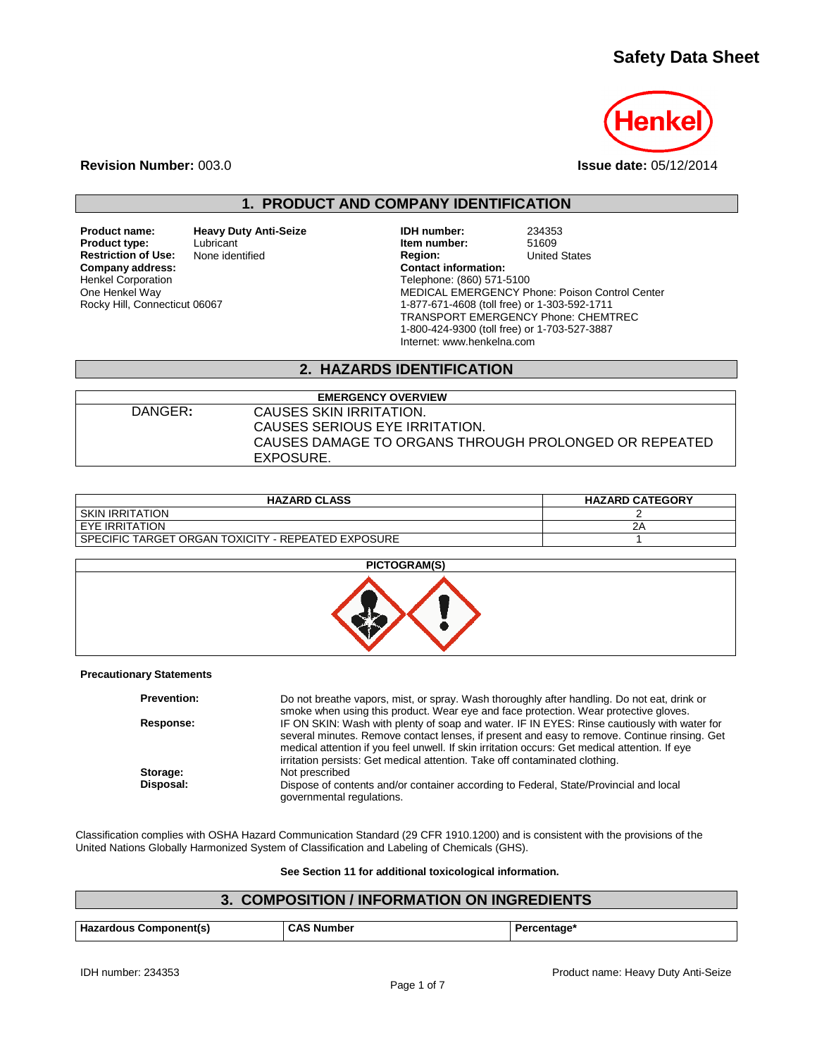# **Safety Data Sheet**



**Revision Number:** 003.0 **Issue date:** 05/12/2014

## **1. PRODUCT AND COMPANY IDENTIFICATION**

**Product name: and Heavy Duty Anti-Seize COMEX 1988 IDH number:** 234353<br> **Product type:** Lubricant **Leap Leap Anti-Seize Item number:** 51609 **Restriction of Use:**<br>Company address: Henkel Corporation One Henkel Way Rocky Hill, Connecticut 06067

Lubricant **Item number:** 51609<br>
None identified **Item number:** 51609<br> **Product Contains Containers Containers Adventured States Company address: Contact information:** Telephone: (860) 571-5100 MEDICAL EMERGENCY Phone: Poison Control Center 1-877-671-4608 (toll free) or 1-303-592-1711 TRANSPORT EMERGENCY Phone: CHEMTREC 1-800-424-9300 (toll free) or 1-703-527-3887 Internet: www.henkelna.com

## **2. HAZARDS IDENTIFICATION**

| <b>EMERGENCY OVERVIEW</b> |                                                       |  |
|---------------------------|-------------------------------------------------------|--|
| DANGER:                   | CAUSES SKIN IRRITATION.                               |  |
|                           | CAUSES SERIOUS EYE IRRITATION.                        |  |
|                           | CAUSES DAMAGE TO ORGANS THROUGH PROLONGED OR REPEATED |  |
|                           | EXPOSURE.                                             |  |

| <b>HAZARD CLASS</b>                                  | <b>HAZARD CATEGORY</b> |
|------------------------------------------------------|------------------------|
| I SKIN IRRITATION                                    |                        |
| I EYE IRRITATION                                     |                        |
| l SPECIFIC TARGET ORGAN TOXICITY - REPEATED EXPOSURE |                        |



#### **Precautionary Statements**

| <b>Prevention:</b> | Do not breathe vapors, mist, or spray. Wash thoroughly after handling. Do not eat, drink or<br>smoke when using this product. Wear eye and face protection. Wear protective gloves.                                                                                                                                                                                          |
|--------------------|------------------------------------------------------------------------------------------------------------------------------------------------------------------------------------------------------------------------------------------------------------------------------------------------------------------------------------------------------------------------------|
| Response:          | IF ON SKIN: Wash with plenty of soap and water. IF IN EYES: Rinse cautiously with water for<br>several minutes. Remove contact lenses, if present and easy to remove. Continue rinsing. Get<br>medical attention if you feel unwell. If skin irritation occurs: Get medical attention. If eye<br>irritation persists: Get medical attention. Take off contaminated clothing. |
| Storage:           | Not prescribed                                                                                                                                                                                                                                                                                                                                                               |
| Disposal:          | Dispose of contents and/or container according to Federal, State/Provincial and local<br>governmental regulations.                                                                                                                                                                                                                                                           |

Classification complies with OSHA Hazard Communication Standard (29 CFR 1910.1200) and is consistent with the provisions of the United Nations Globally Harmonized System of Classification and Labeling of Chemicals (GHS).

#### **See Section 11 for additional toxicological information.**

## **3. COMPOSITION / INFORMATION ON INGREDIENTS**

| <b>Hazardous Component(s)</b> | Numbe⊧ | ⊧rcentaαe |
|-------------------------------|--------|-----------|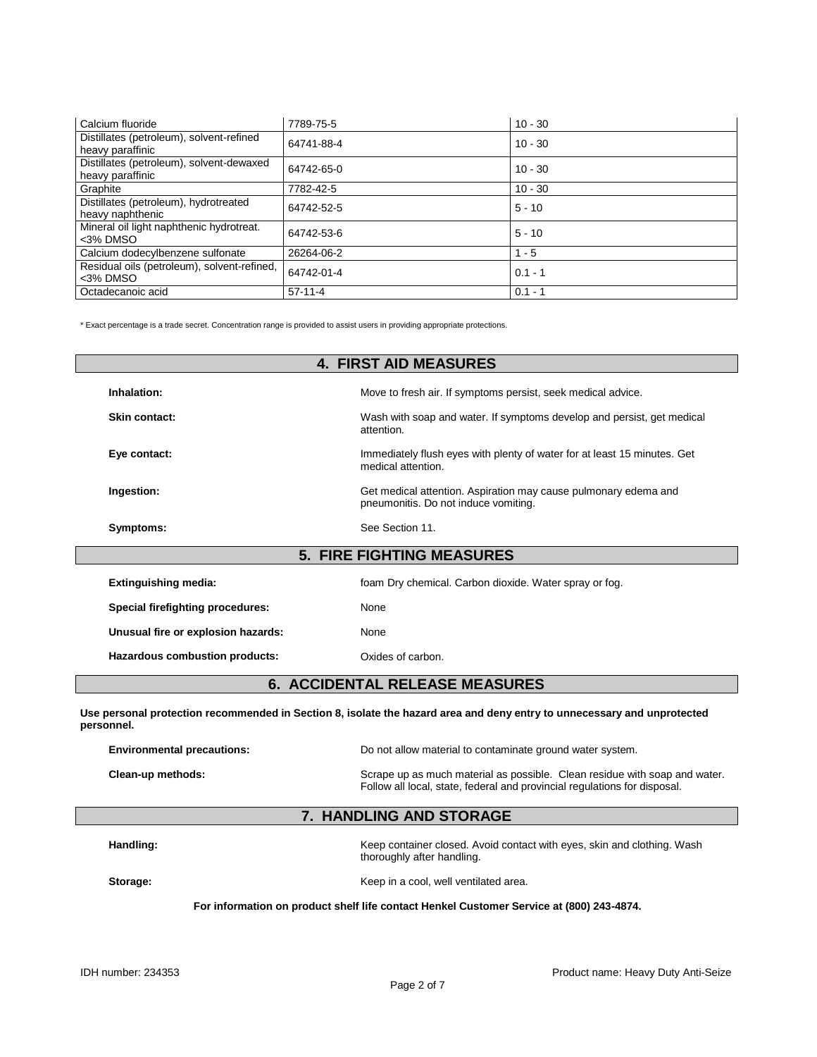| Calcium fluoride                                             | 7789-75-5  | $10 - 30$ |
|--------------------------------------------------------------|------------|-----------|
| Distillates (petroleum), solvent-refined<br>heavy paraffinic | 64741-88-4 | $10 - 30$ |
| Distillates (petroleum), solvent-dewaxed<br>heavy paraffinic | 64742-65-0 | $10 - 30$ |
| Graphite                                                     | 7782-42-5  | $10 - 30$ |
| Distillates (petroleum), hydrotreated<br>heavy naphthenic    | 64742-52-5 | $5 - 10$  |
| Mineral oil light naphthenic hydrotreat.<br><3% DMSO         | 64742-53-6 | $5 - 10$  |
| Calcium dodecylbenzene sulfonate                             | 26264-06-2 | $1 - 5$   |
| Residual oils (petroleum), solvent-refined,<br><3% DMSO      | 64742-01-4 | $0.1 - 1$ |
| Octadecanoic acid                                            | $57-11-4$  | $0.1 - 1$ |

\* Exact percentage is a trade secret. Concentration range is provided to assist users in providing appropriate protections.

| <b>4. FIRST AID MEASURES</b>       |                                                                                                         |  |  |
|------------------------------------|---------------------------------------------------------------------------------------------------------|--|--|
| Inhalation:                        | Move to fresh air. If symptoms persist, seek medical advice.                                            |  |  |
| Skin contact:                      | Wash with soap and water. If symptoms develop and persist, get medical<br>attention.                    |  |  |
| Eye contact:                       | Immediately flush eyes with plenty of water for at least 15 minutes. Get<br>medical attention.          |  |  |
| Ingestion:                         | Get medical attention. Aspiration may cause pulmonary edema and<br>pneumonitis. Do not induce vomiting. |  |  |
| Symptoms:                          | See Section 11.                                                                                         |  |  |
|                                    | <b>5. FIRE FIGHTING MEASURES</b>                                                                        |  |  |
| <b>Extinguishing media:</b>        | foam Dry chemical. Carbon dioxide. Water spray or fog.                                                  |  |  |
| Special firefighting procedures:   | None                                                                                                    |  |  |
| Unusual fire or explosion hazards: | None                                                                                                    |  |  |
| Hazardous combustion products:     | Oxides of carbon.                                                                                       |  |  |

### **6. ACCIDENTAL RELEASE MEASURES**

**Use personal protection recommended in Section 8, isolate the hazard area and deny entry to unnecessary and unprotected personnel.**

| <b>Environmental precautions:</b> | Do not allow material to contaminate ground water system.                                                                                               |  |
|-----------------------------------|---------------------------------------------------------------------------------------------------------------------------------------------------------|--|
| Clean-up methods:                 | Scrape up as much material as possible. Clean residue with soap and water.<br>Follow all local, state, federal and provincial regulations for disposal. |  |

## **7. HANDLING AND STORAGE**

Handling: **Handling:** Keep container closed. Avoid contact with eyes, skin and clothing. Wash thoroughly after handling.

**Storage:** Storage: Storage:  $\frac{1}{2}$  Keep in a cool, well ventilated area.

#### **For information on product shelf life contact Henkel Customer Service at (800) 243-4874.**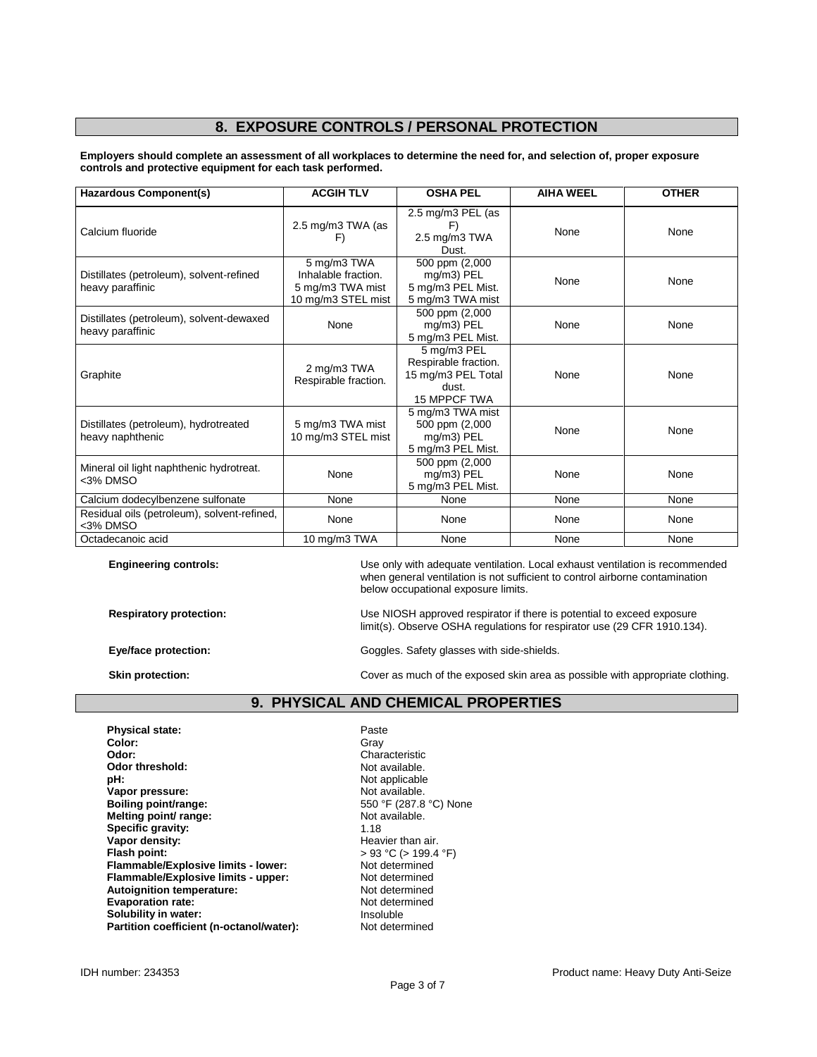## **8. EXPOSURE CONTROLS / PERSONAL PROTECTION**

**Employers should complete an assessment of all workplaces to determine the need for, and selection of, proper exposure controls and protective equipment for each task performed.**

| <b>Hazardous Component(s)</b>                                | <b>ACGIH TLV</b>                                                             | <b>OSHA PEL</b>                                                                           | <b>AIHA WEEL</b> | <b>OTHER</b> |
|--------------------------------------------------------------|------------------------------------------------------------------------------|-------------------------------------------------------------------------------------------|------------------|--------------|
| Calcium fluoride                                             | 2.5 mg/m3 TWA (as<br>F)                                                      | 2.5 mg/m3 PEL (as<br>F)<br>2.5 mg/m3 TWA<br>Dust.                                         | None             | None         |
| Distillates (petroleum), solvent-refined<br>heavy paraffinic | 5 mg/m3 TWA<br>Inhalable fraction.<br>5 mg/m3 TWA mist<br>10 mg/m3 STEL mist | 500 ppm (2,000<br>mg/m3) PEL<br>5 mg/m3 PEL Mist.<br>5 mg/m3 TWA mist                     | None             | None         |
| Distillates (petroleum), solvent-dewaxed<br>heavy paraffinic | None                                                                         | 500 ppm (2,000<br>mg/m3) PEL<br>5 mg/m3 PEL Mist.                                         | None             | None         |
| Graphite                                                     | 2 mg/m3 TWA<br>Respirable fraction.                                          | 5 mg/m3 PEL<br>Respirable fraction.<br>15 mg/m3 PEL Total<br>dust.<br><b>15 MPPCF TWA</b> | None             | None         |
| Distillates (petroleum), hydrotreated<br>heavy naphthenic    | 5 mg/m3 TWA mist<br>10 mg/m3 STEL mist                                       | 5 mg/m3 TWA mist<br>500 ppm (2,000<br>mg/m3) PEL<br>5 mg/m3 PEL Mist.                     | None             | None         |
| Mineral oil light naphthenic hydrotreat.<br>$3%$ DMSO        | None                                                                         | 500 ppm (2,000<br>mg/m3) PEL<br>5 mg/m3 PEL Mist.                                         | None             | None         |
| Calcium dodecylbenzene sulfonate                             | None                                                                         | None                                                                                      | None             | None         |
| Residual oils (petroleum), solvent-refined,<br><3% DMSO      | None                                                                         | None                                                                                      | None             | None         |
| Octadecanoic acid                                            | 10 mg/m3 TWA                                                                 | None                                                                                      | None             | None         |

**Engineering controls:** Use only with adequate ventilation. Local exhaust ventilation is recommended when general ventilation is not sufficient to control airborne contamination below occupational exposure limits.

**Respiratory protection:** Use NIOSH approved respirator if there is potential to exceed exposure limit(s). Observe OSHA regulations for respirator use (29 CFR 1910.134).

Eye/face protection: **Exercise 2018** Goggles. Safety glasses with side-shields.

**Skin protection:** Cover as much of the exposed skin area as possible with appropriate clothing.

### **9. PHYSICAL AND CHEMICAL PROPERTIES**

**Physical state:** Paste Paste Paste Paste Paste Paste Paste Paste Paste Paste Paste Paste Paste Paste Paste Paste Paste Paste Paste Paste Paste Paste Paste Paste Paste Paste Paste Paste Paste Paste Paste Paste Paste Paste **Color:** Gray **Odor:** Characteristic Odor threshold: Characteristic Odor threshold: Odor threshold:<br>pH: **Vapor pressure:** Not available.<br> **Not available.**<br> **Boiling point/range:** Not available and the S50 °F (287.8 °C) None **Boiling point/range:** 550 °F (287.8 **Melting point/range:** 550 °F (287.8 **Melting point/ range:** Not a Not a Not a Not a Not a Not a Not a Not a Not a Not a Not a Not a Not a Not a Not a Not a Not a Not a Not a Not a Not a Not a Not a Not a Not a Not a Not a Not a Not a Not a Not a Not a Not a **Specific gravity:**<br>Vapor density: **Vapor density:**<br>
Flash point:<br>
Flash point:<br>  $\begin{aligned} \text{Plas} & 93 \text{ °C} > 199.4 \end{aligned}$ **Flammable/Explosive limits - lower:** Not determined<br> **Flammable/Explosive limits - upper:** Not determined **Flammable/Explosive limits - upper: Autoignition temperature:** Not determined<br> **Evaporation rate:** Not determined **Evaporation rate:** Not determined the Not determined the Not determined the Not determined the Note of Note 4.1 and the Note of Note 4.1 and the Note of Note 4.1 and the Note of Note 4.1 and the Note of Note 4.1 and the N **Solubility in water: Insoluble Partition coefficient (n-octanol/water):** Insoluble **Partition coefficient (n-octanol/water):** Not determined **Partition coefficient (n-octanol/water):** 

Not applicable<br>Not available. **Figal** PC (> 199.4 °F)<br>Not determined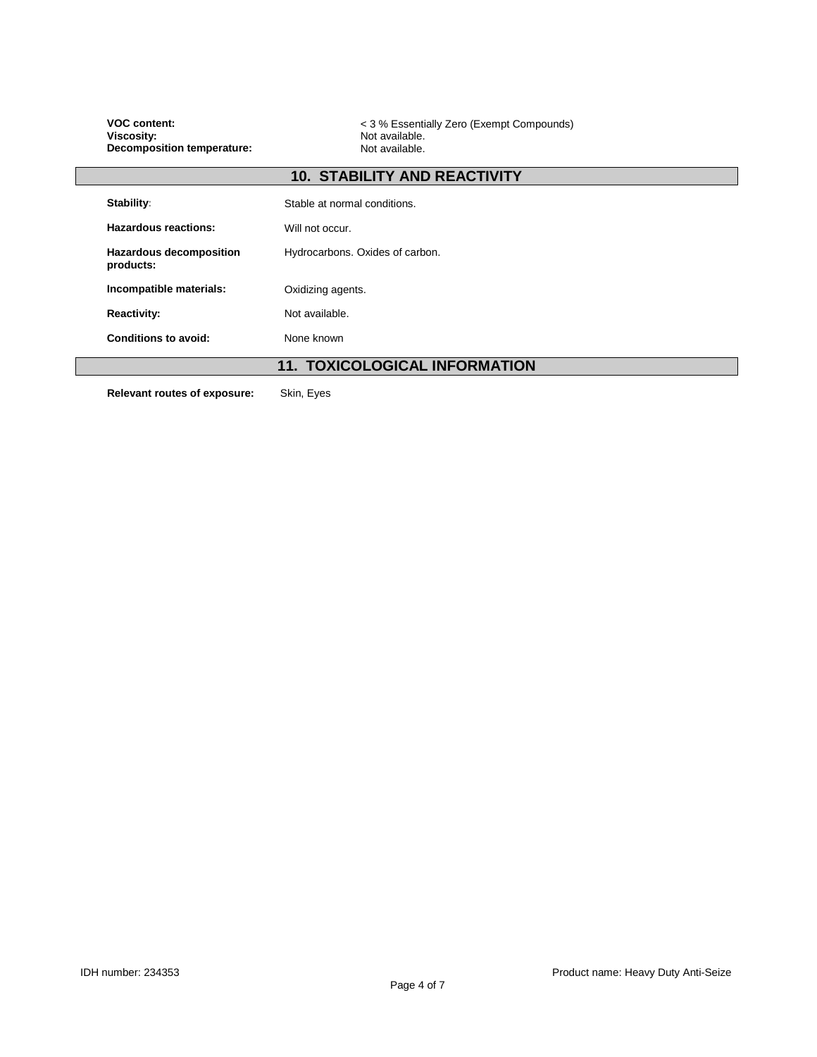| <b>VOC content:</b><br><b>Viscosity:</b><br><b>Decomposition temperature:</b> | < 3 % Essentially Zero (Exempt Compounds)<br>Not available.<br>Not available. |  |  |
|-------------------------------------------------------------------------------|-------------------------------------------------------------------------------|--|--|
|                                                                               | <b>10. STABILITY AND REACTIVITY</b>                                           |  |  |
| Stability:                                                                    | Stable at normal conditions.                                                  |  |  |
| Hazardous reactions:                                                          | Will not occur.                                                               |  |  |
| <b>Hazardous decomposition</b><br>products:                                   | Hydrocarbons. Oxides of carbon.                                               |  |  |
| Incompatible materials:                                                       | Oxidizing agents.                                                             |  |  |
| <b>Reactivity:</b>                                                            | Not available.                                                                |  |  |
| <b>Conditions to avoid:</b>                                                   | None known                                                                    |  |  |
|                                                                               | <b>11. TOXICOLOGICAL INFORMATION</b>                                          |  |  |
| Relevant routes of exposure:                                                  | Skin, Eyes                                                                    |  |  |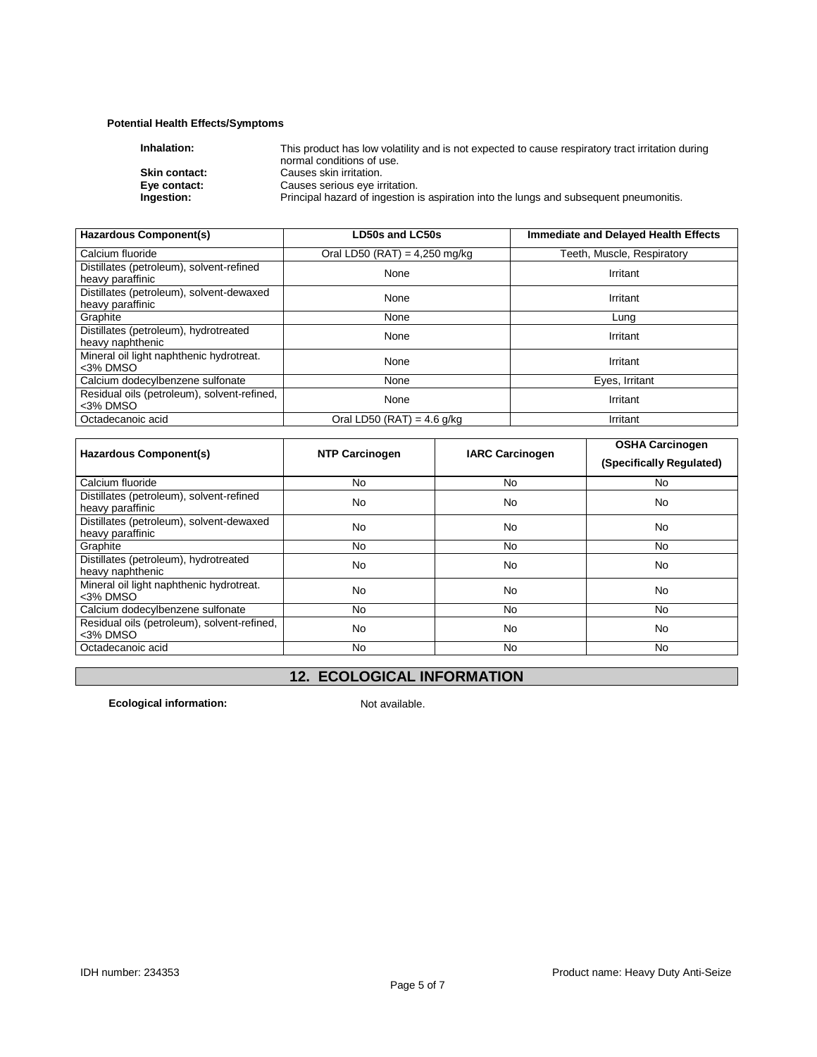## **Potential Health Effects/Symptoms**

| Inhalation:          | This product has low volatility and is not expected to cause respiratory tract irritation during |
|----------------------|--------------------------------------------------------------------------------------------------|
|                      | normal conditions of use.                                                                        |
| <b>Skin contact:</b> | Causes skin irritation.                                                                          |
| Eye contact:         | Causes serious eye irritation.                                                                   |
| Ingestion:           | Principal hazard of ingestion is aspiration into the lungs and subsequent pneumonitis.           |
|                      |                                                                                                  |

| <b>Hazardous Component(s)</b>                                | <b>LD50s and LC50s</b>          | <b>Immediate and Delayed Health Effects</b> |
|--------------------------------------------------------------|---------------------------------|---------------------------------------------|
| Calcium fluoride                                             | Oral LD50 (RAT) = $4,250$ mg/kg | Teeth, Muscle, Respiratory                  |
| Distillates (petroleum), solvent-refined<br>heavy paraffinic | None                            | Irritant                                    |
| Distillates (petroleum), solvent-dewaxed<br>heavy paraffinic | None                            | Irritant                                    |
| Graphite                                                     | None                            | Lung                                        |
| Distillates (petroleum), hydrotreated<br>heavy naphthenic    | None                            | Irritant                                    |
| Mineral oil light naphthenic hydrotreat.<br><3% DMSO         | None                            | Irritant                                    |
| Calcium dodecylbenzene sulfonate                             | None                            | Eyes, Irritant                              |
| Residual oils (petroleum), solvent-refined,<br><3% DMSO      | None                            | Irritant                                    |
| Octadecanoic acid                                            | Oral LD50 (RAT) = $4.6$ g/kg    | Irritant                                    |

| Hazardous Component(s)                                       | <b>NTP Carcinogen</b> | <b>IARC Carcinogen</b> | <b>OSHA Carcinogen</b>   |
|--------------------------------------------------------------|-----------------------|------------------------|--------------------------|
|                                                              |                       |                        | (Specifically Regulated) |
| Calcium fluoride                                             | N <sub>0</sub>        | No.                    | No.                      |
| Distillates (petroleum), solvent-refined<br>heavy paraffinic | No                    | No                     | <b>No</b>                |
| Distillates (petroleum), solvent-dewaxed<br>heavy paraffinic | No                    | No                     | <b>No</b>                |
| Graphite                                                     | No                    | No.                    | No.                      |
| Distillates (petroleum), hydrotreated<br>heavy naphthenic    | No                    | No                     | <b>No</b>                |
| Mineral oil light naphthenic hydrotreat.<br>$3%$ DMSO        | No                    | No                     | <b>No</b>                |
| Calcium dodecylbenzene sulfonate                             | No                    | No.                    | No.                      |
| Residual oils (petroleum), solvent-refined,<br><3% DMSO      | No                    | No                     | <b>No</b>                |
| Octadecanoic acid                                            | No.                   | No.                    | No.                      |

# **12. ECOLOGICAL INFORMATION**

**Ecological information:** Not available.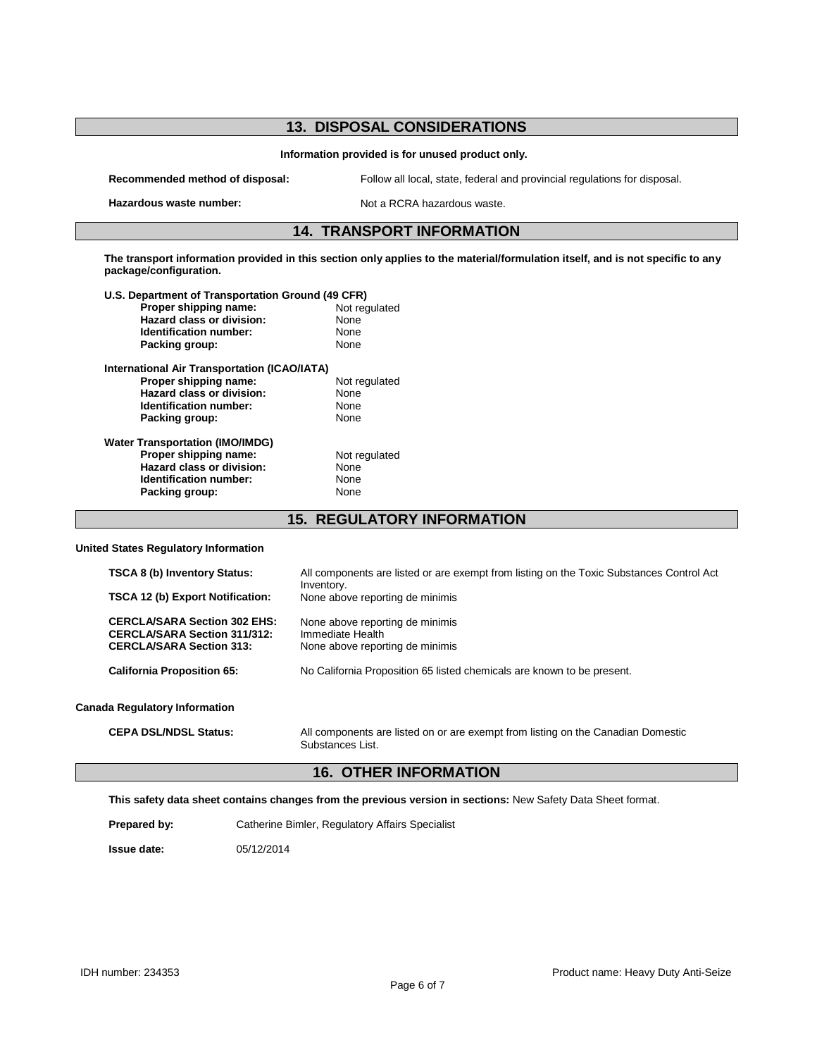| <b>13. DISPOSAL CONSIDERATIONS</b>                                                                                                                       |                                                                                                        |
|----------------------------------------------------------------------------------------------------------------------------------------------------------|--------------------------------------------------------------------------------------------------------|
| Information provided is for unused product only.                                                                                                         |                                                                                                        |
| Recommended method of disposal:                                                                                                                          | Follow all local, state, federal and provincial regulations for disposal.                              |
| Hazardous waste number:                                                                                                                                  | Not a RCRA hazardous waste.                                                                            |
| <b>14. TRANSPORT INFORMATION</b>                                                                                                                         |                                                                                                        |
| The transport information provided in this section only applies to the material/formulation itself, and is not specific to any<br>package/configuration. |                                                                                                        |
| U.S. Department of Transportation Ground (49 CFR)                                                                                                        |                                                                                                        |
| Proper shipping name:                                                                                                                                    | Not regulated                                                                                          |
| Hazard class or division:                                                                                                                                | None                                                                                                   |
| <b>Identification number:</b>                                                                                                                            | None                                                                                                   |
| Packing group:                                                                                                                                           | None                                                                                                   |
| <b>International Air Transportation (ICAO/IATA)</b>                                                                                                      |                                                                                                        |
| Proper shipping name:                                                                                                                                    | Not regulated                                                                                          |
| Hazard class or division:                                                                                                                                | None                                                                                                   |
| <b>Identification number:</b>                                                                                                                            | None                                                                                                   |
| Packing group:                                                                                                                                           | None                                                                                                   |
|                                                                                                                                                          |                                                                                                        |
| <b>Water Transportation (IMO/IMDG)</b><br>Proper shipping name:                                                                                          | Not regulated                                                                                          |
| Hazard class or division:                                                                                                                                | None                                                                                                   |
| Identification number:                                                                                                                                   | None                                                                                                   |
| Packing group:                                                                                                                                           | None                                                                                                   |
|                                                                                                                                                          |                                                                                                        |
| <b>15. REGULATORY INFORMATION</b>                                                                                                                        |                                                                                                        |
| <b>United States Regulatory Information</b>                                                                                                              |                                                                                                        |
| TSCA 8 (b) Inventory Status:                                                                                                                             | All components are listed or are exempt from listing on the Toxic Substances Control Act<br>Inventory. |
| TSCA 12 (b) Export Notification:                                                                                                                         | None above reporting de minimis                                                                        |
| <b>CERCLA/SARA Section 302 EHS:</b>                                                                                                                      | None above reporting de minimis                                                                        |
| <b>CERCLA/SARA Section 311/312:</b>                                                                                                                      | Immediate Health                                                                                       |
| <b>CERCLA/SARA Section 313:</b>                                                                                                                          | None above reporting de minimis                                                                        |
| <b>California Proposition 65:</b>                                                                                                                        | No California Proposition 65 listed chemicals are known to be present.                                 |
|                                                                                                                                                          |                                                                                                        |

#### **Canada Regulatory Information**

**CEPA DSL/NDSL Status:** All components are listed on or are exempt from listing on the Canadian Domestic Substances List.

## **16. OTHER INFORMATION**

**This safety data sheet contains changes from the previous version in sections:** New Safety Data Sheet format.

**Prepared by:** Catherine Bimler, Regulatory Affairs Specialist

**Issue date:** 05/12/2014